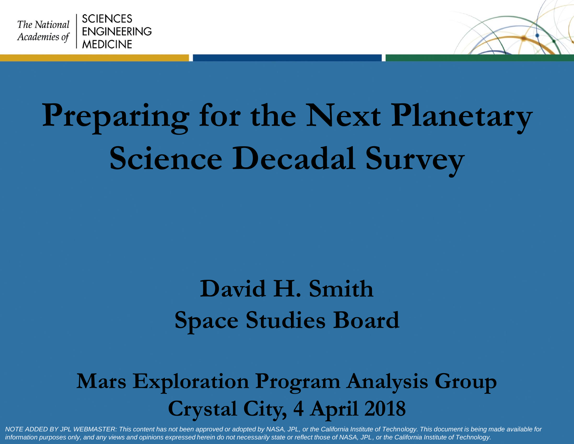



# **Preparing for the Next Planetary Science Decadal Survey**

#### **David H. Smith Space Studies Board**

#### **Mars Exploration Program Analysis Group Crystal City, 4 April 2018**

*NOTE ADDED BY JPL WEBMASTER: This content has not been approved or adopted by NASA, JPL, or the California Institute of Technology. This document is being made available for information purposes only, and any views and opinions expressed herein do not necessarily state or reflect those of NASA, JPL, or the California Institute of Technology.*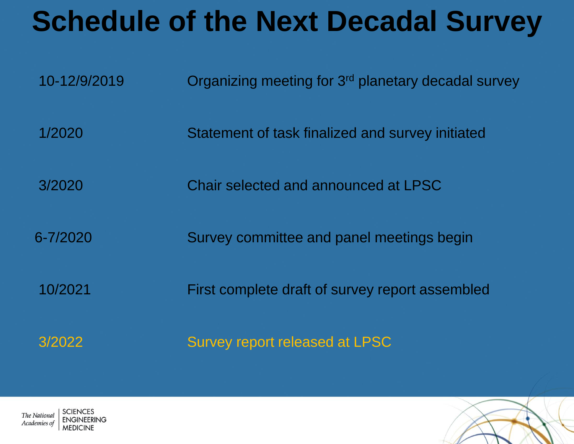### **Schedule of the Next Decadal Survey**

| 10-12/9/2019 | Organizing meeting for 3 <sup>rd</sup> planetary decadal survey |
|--------------|-----------------------------------------------------------------|
| 1/2020       | Statement of task finalized and survey initiated                |
| 3/2020       | Chair selected and announced at LPSC                            |
| $6 - 7/2020$ | Survey committee and panel meetings begin                       |
| 10/2021      | First complete draft of survey report assembled                 |
| 3/2022       | Survey report released at LPSC                                  |



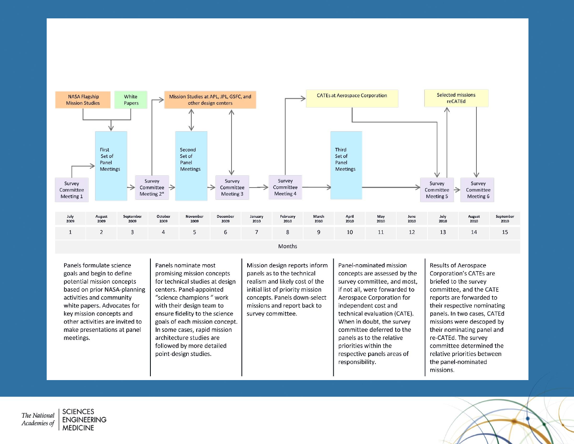

Months

Panels formulate science goals and begin to define potential mission concepts based on prior NASA-planning activities and community white papers. Advocates for key mission concepts and other activities are invited to make presentations at panel meetings.

Panels nominate most promising mission concepts for technical studies at design centers. Panel-appointed "science champions " work with their design team to ensure fidelity to the science goals of each mission concept. In some cases, rapid mission architecture studies are followed by more detailed point-design studies.

Mission design reports inform panels as to the technical realism and likely cost of the initial list of priority mission concepts. Panels down-select missions and report back to survey committee.

Panel-nominated mission concepts are assessed by the survey committee, and most, if not all, were forwarded to Aerospace Corporation for independent cost and technical evaluation (CATE). When in doubt, the survey committee deferred to the panels as to the relative priorities within the respective panels areas of responsibility.

Results of Aerospace Corporation's CATEs are briefed to the survey committee, and the CATE reports are forwarded to their respective nominating panels. In two cases, CATEd missions were descoped by their nominating panel and re-CATEd. The survey committee determined the relative priorities between the panel-nominated missions.

**SCIENCES** The National **ENGINEERING** Academies of **MEDICINE** 

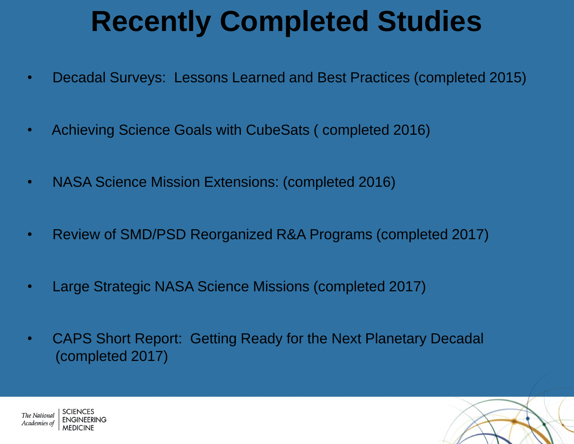## **Recently Completed Studies**

- Decadal Surveys: Lessons Learned and Best Practices (completed 2015)
- Achieving Science Goals with CubeSats ( completed 2016)
- NASA Science Mission Extensions: (completed 2016)
- Review of SMD/PSD Reorganized R&A Programs (completed 2017)
- Large Strategic NASA Science Missions (completed 2017)
- CAPS Short Report: Getting Ready for the Next Planetary Decadal (completed 2017)



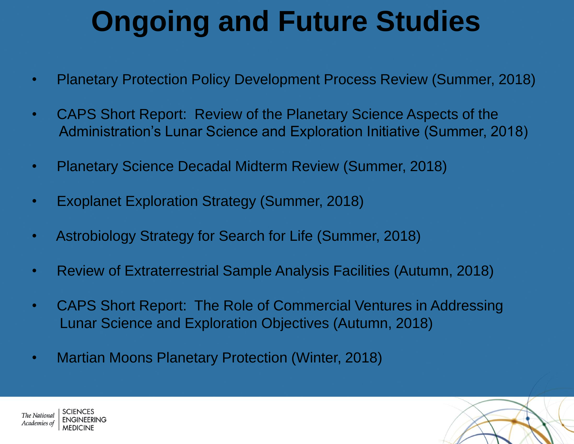## **Ongoing and Future Studies**

- Planetary Protection Policy Development Process Review (Summer, 2018)
- CAPS Short Report: Review of the Planetary Science Aspects of the Administration's Lunar Science and Exploration Initiative (Summer, 2018)
- Planetary Science Decadal Midterm Review (Summer, 2018)
- Exoplanet Exploration Strategy (Summer, 2018)
- Astrobiology Strategy for Search for Life (Summer, 2018)
- Review of Extraterrestrial Sample Analysis Facilities (Autumn, 2018)
- CAPS Short Report: The Role of Commercial Ventures in Addressing Lunar Science and Exploration Objectives (Autumn, 2018)
- Martian Moons Planetary Protection (Winter, 2018)

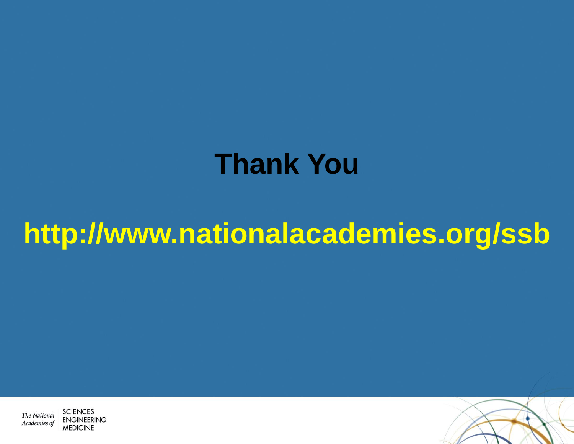#### **Thank You**

## **http://www.nationalacademies.org/ssb**



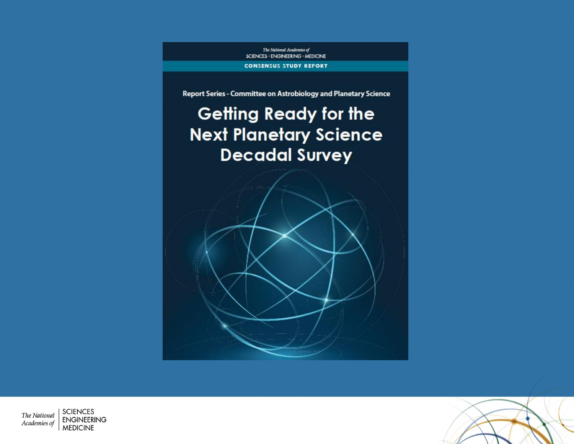The National Academies of SCIENCES - ENGINEERING - MEDICINE

**CONSENSUS STUDY REPORT** 

Report Series - Committee on Astrobiology and Planetary Science

#### **Getting Ready for the Next Planetary Science Decadal Survey**



**SCIENCES** The National **ENGINEERING** Academies of **MEDICINE** 

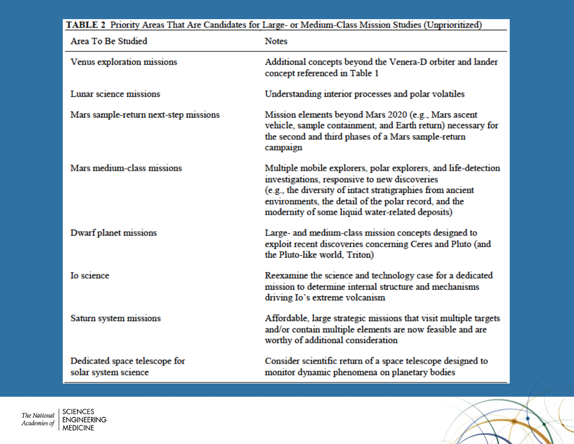| TABLE 2 Priority Areas That Are Candidates for Large- or Medium-Class Mission Studies (Unprioritized) |                                                                                                                                                                                                                                                                                            |  |
|-------------------------------------------------------------------------------------------------------|--------------------------------------------------------------------------------------------------------------------------------------------------------------------------------------------------------------------------------------------------------------------------------------------|--|
| Area To Be Studied                                                                                    | <b>Notes</b>                                                                                                                                                                                                                                                                               |  |
| Venus exploration missions                                                                            | Additional concepts beyond the Venera-D orbiter and lander<br>concept referenced in Table 1                                                                                                                                                                                                |  |
| Lunar science missions                                                                                | Understanding interior processes and polar volatiles                                                                                                                                                                                                                                       |  |
| Mars sample-return next-step missions                                                                 | Mission elements beyond Mars 2020 (e.g., Mars ascent<br>vehicle, sample containment, and Earth return) necessary for<br>the second and third phases of a Mars sample-return<br>campaign                                                                                                    |  |
| Mars medium-class missions                                                                            | Multiple mobile explorers, polar explorers, and life-detection<br>investigations, responsive to new discoveries<br>(e.g., the diversity of intact stratigraphies from ancient<br>environments, the detail of the polar record, and the<br>modernity of some liquid water-related deposits) |  |
| Dwarf planet missions                                                                                 | Large- and medium-class mission concepts designed to<br>exploit recent discoveries concerning Ceres and Pluto (and<br>the Pluto-like world, Triton)                                                                                                                                        |  |
| Io science                                                                                            | Reexamine the science and technology case for a dedicated<br>mission to determine internal structure and mechanisms<br>driving Io's extreme volcanism                                                                                                                                      |  |
| Saturn system missions                                                                                | Affordable, large strategic missions that visit multiple targets<br>and/or contain multiple elements are now feasible and are<br>worthy of additional consideration                                                                                                                        |  |
| Dedicated space telescope for<br>solar system science                                                 | Consider scientific return of a space telescope designed to<br>monitor dynamic phenomena on planetary bodies                                                                                                                                                                               |  |

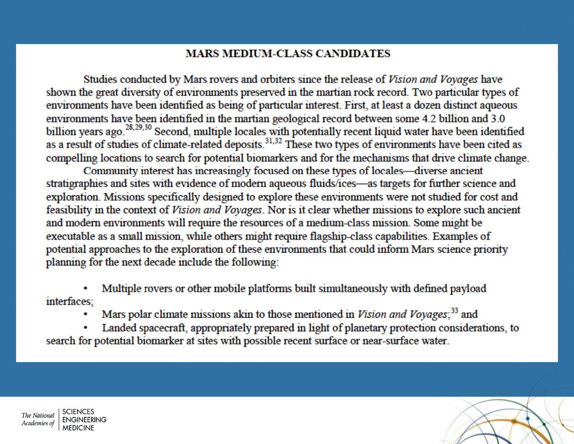#### **MARS MEDIUM-CLASS CANDIDATES**

Studies conducted by Mars rovers and orbiters since the release of Vision and Voyages have shown the great diversity of environments preserved in the martian rock record. Two particular types of environments have been identified as being of particular interest. First, at least a dozen distinct aqueous environments have been identified in the martian geological record between some 4.2 billion and 3.0 billion years ago.<sup>28,29,30</sup> Second, multiple locales with potentially recent liquid water have been identified<br>as a result of studies of climate-related deposits.<sup>31,32</sup> These two types of environments have been cited as compelling locations to search for potential biomarkers and for the mechanisms that drive climate change.

Community interest has increasingly focused on these types of locales—diverse ancient stratigraphies and sites with evidence of modern aqueous fluids/ices—as targets for further science and exploration. Missions specifically designed to explore these environments were not studied for cost and feasibility in the context of Vision and Voyages. Nor is it clear whether missions to explore such ancient and modern environments will require the resources of a medium-class mission. Some might be executable as a small mission, while others might require flagship-class capabilities. Examples of potential approaches to the exploration of these environments that could inform Mars science priority planning for the next decade include the following:

Multiple rovers or other mobile platforms built simultaneously with defined payload interfaces:

Mars polar climate missions akin to those mentioned in Vision and Voyages;<sup>33</sup> and

Landed spacecraft, appropriately prepared in light of planetary protection considerations, to search for potential biomarker at sites with possible recent surface or near-surface water.